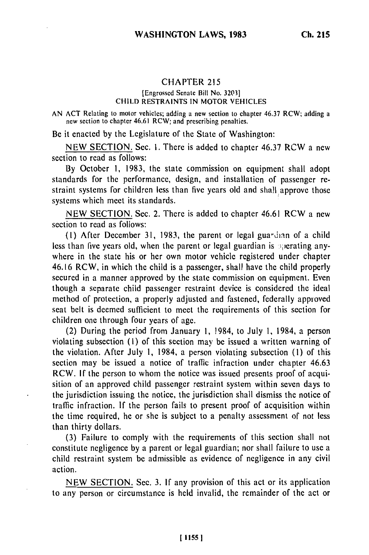# CHAPTER <sup>215</sup>

#### [Engrossed Senate Bill No. 32031 CHILD RESTRAINTS IN MOTOR VEHICLES

AN ACT Relating to motor vehicles; adding a new section to chapter 46.37 RCW; adding a new section to chapter 46.61 RCW; and prescribing penalties.

Be it enacted by the Legislature of the State of Washington:

NEW SECTION. Sec. **1.** There is added to chapter 46.37 RCW a new section to read as follows:

By October 1, 1983, the state commission on equipment shall adopt standards for the performance, design, and installation of passenger restraint systems for children less than five years old and shall approve those systems which meet its standards.

NEW SECTION. Sec. 2. There is added to chapter 46.61 RCW a new section to read as follows:

**(1)** After December 31, 1983, the parent or legal gua-dian of a child less than five years old, when the parent or legal guardian is sperating anywhere in the state his or her own motor vehicle registered under chapter 46.16 RCW, in which the child is a passenger, shall have the child properly secured in a manner approved by the state commission on equipment. Even though a separate child passenger restraint device is considered the ideal method of protection, a properly adjusted and fastened, federally approved seat belt is deemed sufficient to meet the requirements of this section for children one through four years of age.

(2) During the period from January **1,** 1984, to July 1, 1984, a person violating subsection (i) of this section may be issued a written warning of the violation. After July 1, 1984, a person violating subsection (1) of this section may be issued a notice of traffic infraction under chapter 46.63 RCW. If the person to whom the notice was issued presents proof of acquisition of an approved child passenger restraint system within seven days to the jurisdiction issuing the notice, the jurisdiction shall dismiss the notice of traffic infraction. If the person fails to present proof of acquisition within the time required, he or she is subject to a penalty assessment of not less than thirty dollars.

(3) Failure to comply with the requirements of this section shall not constitute negligence by a parent or legal guardian; nor shall failure to use a child restraint system be admissible as evidence of negligence in any civil action.

NEW SECTION. Sec. 3. If any provision of this act or its application to any person or circumstance is held invalid, the remainder of the act or